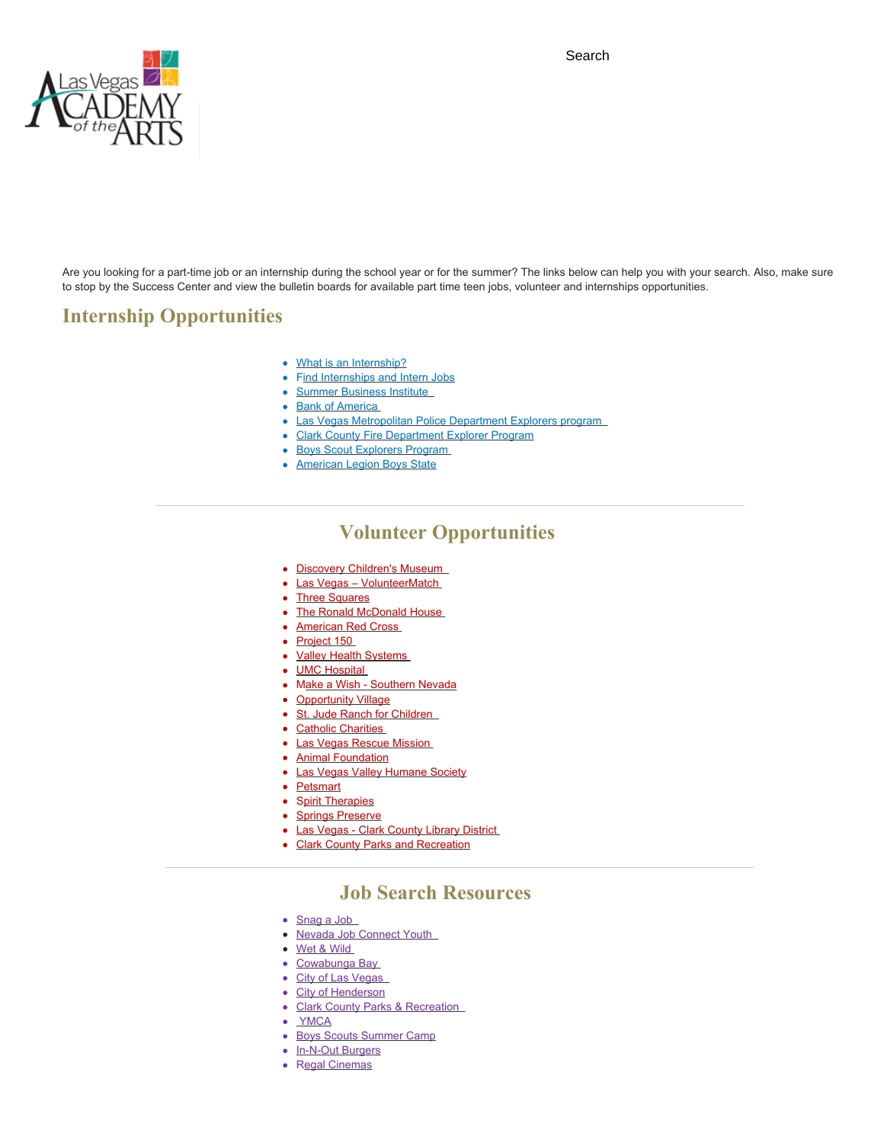Search



Are you looking for a part-time job or an internship during the school year or for the summer? The links below can help you with your search. Also, make sure to stop by the Success Center and view the bulletin boards for available part time teen jobs, volunteer and internships opportunities.

## **Internship Opportunities**

- [What is an Internship?](http://internships.about.com/od/internshipsquestions/g/internshipdefin.htm)
- [Find Internships and Intern Jobs](http://www.internships.com/student)
- Summer Business Institute
- [Bank of America](http://about.bankofamerica.com/en-us/global-impact/student-leaders-community-impact.html#fbid=RKJHsS6Cqsh)
- Las Vegas [Metropolitan](http://www.lvmpd.com/CommunityPrograms/Explorers.aspx) Police [Department Explorers program](http://www.lvmpd.com/CommunityPrograms/Explorers.aspx)
- [Clark County Fire Department Explorer Program](http://ccfdexplorer.wix.com/explorer2)
- [Boys Scout Explorers Program](http://exploring.lvacbsa.org/)
- [American Legion Boys State](https://www.legion.org/boysnation/websites)

### **Volunteer Opportunities**

- Discovery Children's Museum
- [Las Vegas VolunteerMatch](https://www.volunteermatch.org/search/opp2102628.jsp)
- [Three Squares](https://www.threesquare.org/how-to-help/volunteer/)
- [The Ronald McDonald House](http://www.rmhlv.com/volunteer)
- [American Red Cross](http://www.redcross.org/volunteer/become-a-volunteer#step1)
- [Project 150](http://www.project150.org/get-involved/)
- [Valley Health Systems](http://www.valleyhealthsystemlv.com/community-information/volunteering)
- **[UMC Hospital](https://www.umcsn.com/Volunteer-Services/Volunteering-at-UMC-Index.aspx?inMenuID=5900&intpageID=289)**
- [Make a Wish Southern Nevada](http://snv.wish.org/ways-to-help/volunteering)
- [Opportunity Village](http://www.opportunityvillage.org/pages/volunteer)
- St. Jude Ranch for Children
- [Catholic Charities](http://www.catholiccharities.com/get-involved/volunteer/)
- [Las Vegas Rescue Mission](http://www.vegasrescue.org/volunteer/)
- **[Animal Foundation](https://animalfoundation.com/get-involved/volunteer/)**
- [Las Vegas Valley Humane Society](http://www.lvvhumane.org/volunteer.php)
- [Petsmart](https://www.petsmartcharities.org/save-pets-now/volunteer)
- [Spirit Therapies](http://www.spirittherapies.org/volunteers.html)
- [Springs Preserve](https://www.springspreserve.org/support/volunteer.html)
- [Las Vegas Clark County Library District](http://www.lvccldfoundation.org/volunteer_jobs.cfm)
- [Clark County Parks and Recreation](http://www.clarkcountynv.gov/parks/Documents/Locations/helen-meyer/lotf-application.pdf)

#### **Job Search Resources**

- Snag a Job
- Nevada Job Connect Youth
- [Wet & Wild](http://wetnwildlasvegas.com/about/employment.aspx)
- [Cowabunga Bay](http://www.cowabungabayvegas.com/employment/)
- City of Las Vegas
- [City of Henderson](https://www.governmentjobs.com/careers/henderson)
- Clark County Parks & Recreation
- [YMCA](https://www.lasvegasymca.org/about-the-y/employment)
- [Boys Scouts Summer Camp](http://lvacbsa.org/summer-camp/)
- [In-N-Out Burgers](http://www.in-n-out.com/locations/grandopenings)
- R[egal Cinemas](https://re11.ultipro.com/REG1000/JobBoard/SearchJobs.aspx?Page=Search)